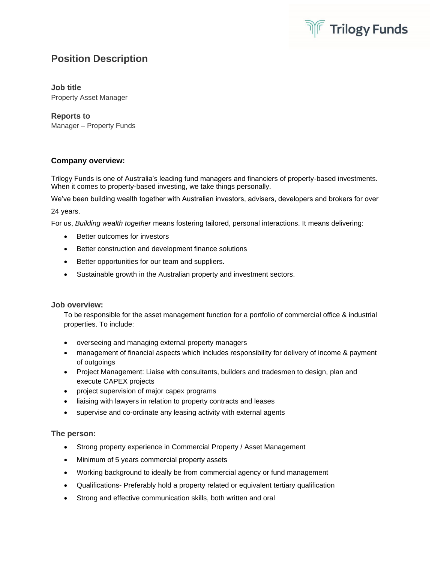

# **Position Description**

### **Job title**

Property Asset Manager

## **Reports to**

Manager – Property Funds

# **Company overview:**

Trilogy Funds is one of Australia's leading fund managers and financiers of property-based investments. When it comes to property-based investing, we take things personally.

We've been building wealth together with Australian investors, advisers, developers and brokers for over 24 years.

For us, *Building wealth together* means fostering tailored, personal interactions. It means delivering:

- Better outcomes for investors
- Better construction and development finance solutions
- Better opportunities for our team and suppliers.
- Sustainable growth in the Australian property and investment sectors.

#### **Job overview:**

To be responsible for the asset management function for a portfolio of commercial office & industrial properties. To include:

- overseeing and managing external property managers
- management of financial aspects which includes responsibility for delivery of income & payment of outgoings
- Project Management: Liaise with consultants, builders and tradesmen to design, plan and execute CAPEX projects
- project supervision of major capex programs
- liaising with lawyers in relation to property contracts and leases
- supervise and co-ordinate any leasing activity with external agents

## **The person:**

- Strong property experience in Commercial Property / Asset Management
- Minimum of 5 years commercial property assets
- Working background to ideally be from commercial agency or fund management
- Qualifications- Preferably hold a property related or equivalent tertiary qualification
- Strong and effective communication skills, both written and oral